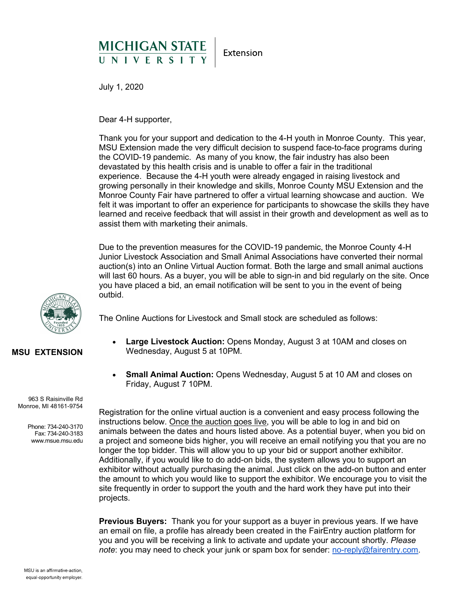## MICHIGAN STATE

Extension

July 1, 2020

Dear 4-H supporter,

Thank you for your support and dedication to the 4-H youth in Monroe County. This year, MSU Extension made the very difficult decision to suspend face-to-face programs during the COVID-19 pandemic. As many of you know, the fair industry has also been devastated by this health crisis and is unable to offer a fair in the traditional experience. Because the 4-H youth were already engaged in raising livestock and growing personally in their knowledge and skills, Monroe County MSU Extension and the Monroe County Fair have partnered to offer a virtual learning showcase and auction. We felt it was important to offer an experience for participants to showcase the skills they have learned and receive feedback that will assist in their growth and development as well as to assist them with marketing their animals.

Due to the prevention measures for the COVID-19 pandemic, the Monroe County 4-H Junior Livestock Association and Small Animal Associations have converted their normal auction(s) into an Online Virtual Auction format. Both the large and small animal auctions will last 60 hours. As a buyer, you will be able to sign-in and bid regularly on the site. Once you have placed a bid, an email notification will be sent to you in the event of being outbid.

The Online Auctions for Livestock and Small stock are scheduled as follows:

- **Large Livestock Auction:** Opens Monday, August 3 at 10AM and closes on Wednesday, August 5 at 10PM.
- **Small Animal Auction:** Opens Wednesday, August 5 at 10 AM and closes on Friday, August 7 10PM.

Registration for the online virtual auction is a convenient and easy process following the instructions below. Once the auction goes live, you will be able to log in and bid on animals between the dates and hours listed above. As a potential buyer, when you bid on a project and someone bids higher, you will receive an email notifying you that you are no longer the top bidder. This will allow you to up your bid or support another exhibitor. Additionally, if you would like to do add-on bids, the system allows you to support an exhibitor without actually purchasing the animal. Just click on the add-on button and enter the amount to which you would like to support the exhibitor. We encourage you to visit the site frequently in order to support the youth and the hard work they have put into their projects.

**Previous Buyers:** Thank you for your support as a buyer in previous years. If we have an email on file, a profile has already been created in the FairEntry auction platform for you and you will be receiving a link to activate and update your account shortly. *Please note*: you may need to check your junk or spam box for sender: [no-reply@fairentry.com.](mailto:no-reply@fairentry.com)



## **MSU EXTENSION**

963 S Raisinville Rd Monroe, MI 48161-9754

> Phone: 734-240-3170 Fax: 734-240-3183 www.msue.msu.edu